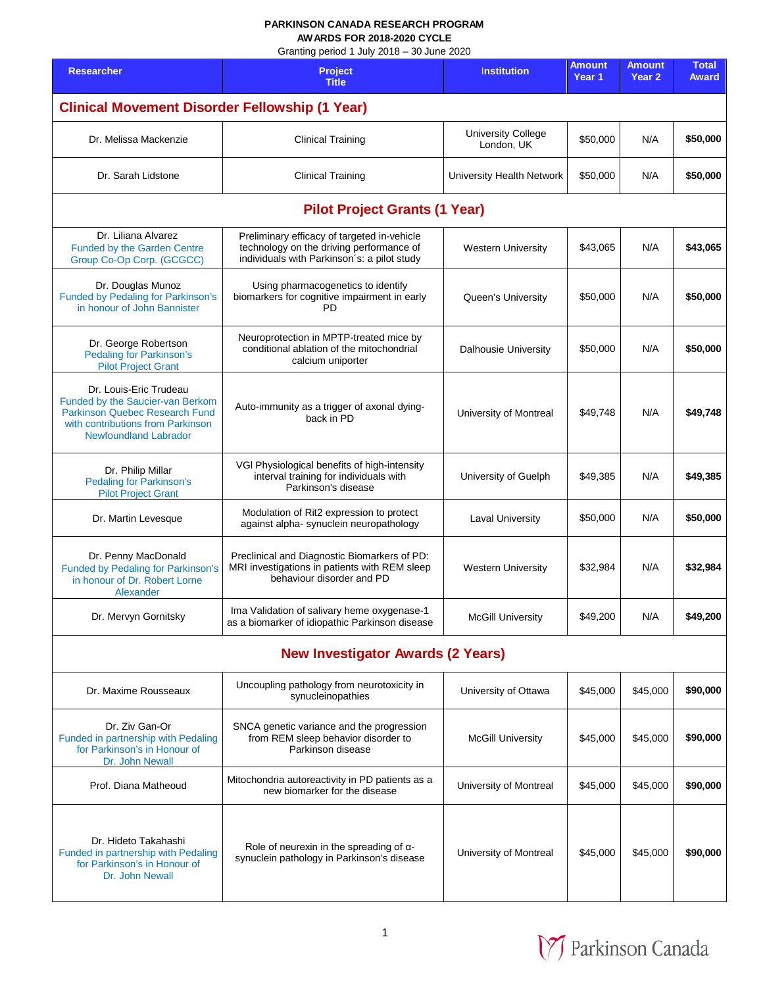## **PARKINSON CANADA RESEARCH PROGRAM AWARDS FOR 2018-2020 CYCLE**

Granting period 1 July 2018 – 30 June 2020

| <b>Researcher</b>                                                                                                                                                        | Grammy period T July 2010 - 30 Julie 2020<br>Project                                                                                   | <b>Institution</b>                      | <b>Amount</b><br>Year 1 | Amount<br>Year <sub>2</sub> | <b>Total</b><br><b>Award</b> |  |  |
|--------------------------------------------------------------------------------------------------------------------------------------------------------------------------|----------------------------------------------------------------------------------------------------------------------------------------|-----------------------------------------|-------------------------|-----------------------------|------------------------------|--|--|
| <b>Title</b><br><b>Clinical Movement Disorder Fellowship (1 Year)</b>                                                                                                    |                                                                                                                                        |                                         |                         |                             |                              |  |  |
|                                                                                                                                                                          |                                                                                                                                        |                                         |                         |                             |                              |  |  |
| Dr. Melissa Mackenzie                                                                                                                                                    | <b>Clinical Training</b>                                                                                                               | <b>University College</b><br>London, UK | \$50,000                | N/A                         | \$50,000                     |  |  |
| Dr. Sarah Lidstone                                                                                                                                                       | <b>Clinical Training</b>                                                                                                               | University Health Network               | \$50,000                | N/A                         | \$50,000                     |  |  |
| <b>Pilot Project Grants (1 Year)</b>                                                                                                                                     |                                                                                                                                        |                                         |                         |                             |                              |  |  |
| Dr. Liliana Alvarez<br><b>Funded by the Garden Centre</b><br>Group Co-Op Corp. (GCGCC)                                                                                   | Preliminary efficacy of targeted in-vehicle<br>technology on the driving performance of<br>individuals with Parkinson's: a pilot study | <b>Western University</b>               | \$43,065                | N/A                         | \$43,065                     |  |  |
| Dr. Douglas Munoz<br><b>Funded by Pedaling for Parkinson's</b><br>in honour of John Bannister                                                                            | Using pharmacogenetics to identify<br>biomarkers for cognitive impairment in early<br>PD                                               | Queen's University                      | \$50,000                | N/A                         | \$50,000                     |  |  |
| Dr. George Robertson<br><b>Pedaling for Parkinson's</b><br><b>Pilot Project Grant</b>                                                                                    | Neuroprotection in MPTP-treated mice by<br>conditional ablation of the mitochondrial<br>calcium uniporter                              | <b>Dalhousie University</b>             | \$50,000                | N/A                         | \$50,000                     |  |  |
| Dr. Louis-Eric Trudeau<br>Funded by the Saucier-van Berkom<br><b>Parkinson Quebec Research Fund</b><br>with contributions from Parkinson<br><b>Newfoundland Labrador</b> | Auto-immunity as a trigger of axonal dying-<br>back in PD                                                                              | University of Montreal                  | \$49,748                | N/A                         | \$49,748                     |  |  |
| Dr. Philip Millar<br><b>Pedaling for Parkinson's</b><br><b>Pilot Project Grant</b>                                                                                       | VGI Physiological benefits of high-intensity<br>interval training for individuals with<br>Parkinson's disease                          | University of Guelph                    | \$49,385                | N/A                         | \$49,385                     |  |  |
| Dr. Martin Levesque                                                                                                                                                      | Modulation of Rit2 expression to protect<br>against alpha- synuclein neuropathology                                                    | <b>Laval University</b>                 | \$50,000                | N/A                         | \$50,000                     |  |  |
| Dr. Penny MacDonald<br>Funded by Pedaling for Parkinson's<br>in honour of Dr. Robert Lorne<br>Alexander                                                                  | Preclinical and Diagnostic Biomarkers of PD:<br>MRI investigations in patients with REM sleep<br>behaviour disorder and PD             | <b>Western University</b>               | \$32,984                | N/A                         | \$32,984                     |  |  |
| Dr. Mervyn Gornitsky                                                                                                                                                     | Ima Validation of salivary heme oxygenase-1<br>as a biomarker of idiopathic Parkinson disease                                          | <b>McGill University</b>                | \$49,200                | N/A                         | \$49,200                     |  |  |
| <b>New Investigator Awards (2 Years)</b>                                                                                                                                 |                                                                                                                                        |                                         |                         |                             |                              |  |  |
| Dr. Maxime Rousseaux                                                                                                                                                     | Uncoupling pathology from neurotoxicity in<br>synucleinopathies                                                                        | University of Ottawa                    | \$45,000                | \$45,000                    | \$90,000                     |  |  |
| Dr. Ziv Gan-Or<br>Funded in partnership with Pedaling<br>for Parkinson's in Honour of<br>Dr. John Newall                                                                 | SNCA genetic variance and the progression<br>from REM sleep behavior disorder to<br>Parkinson disease                                  | <b>McGill University</b>                | \$45,000                | \$45,000                    | \$90,000                     |  |  |
| Prof. Diana Matheoud                                                                                                                                                     | Mitochondria autoreactivity in PD patients as a<br>new biomarker for the disease                                                       | University of Montreal                  | \$45,000                | \$45,000                    | \$90,000                     |  |  |
| Dr. Hideto Takahashi<br>Funded in partnership with Pedaling<br>for Parkinson's in Honour of<br>Dr. John Newall                                                           | Role of neurexin in the spreading of $\alpha$ -<br>synuclein pathology in Parkinson's disease                                          | University of Montreal                  | \$45,000                | \$45,000                    | \$90,000                     |  |  |